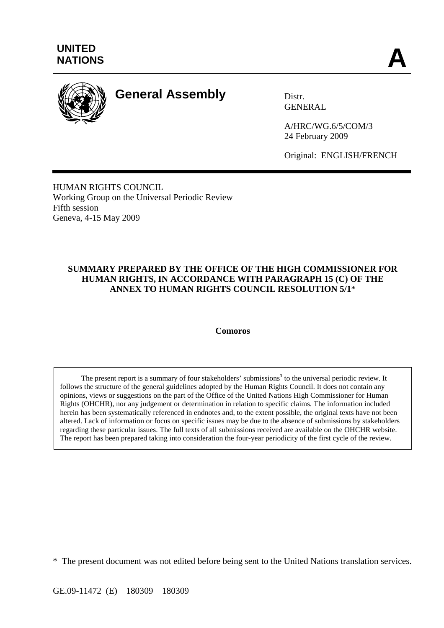

# **General Assembly** Distr.

GENERAL

A/HRC/WG.6/5/COM/3 24 February 2009

Original: ENGLISH/FRENCH

HUMAN RIGHTS COUNCIL Working Group on the Universal Periodic Review Fifth session Geneva, 4-15 May 2009

### **SUMMARY PREPARED BY THE OFFICE OF THE HIGH COMMISSIONER FOR HUMAN RIGHTS, IN ACCORDANCE WITH PARAGRAPH 15 (C) OF THE ANNEX TO HUMAN RIGHTS COUNCIL RESOLUTION 5/1**\*

#### **Comoros**

The present report is a summary of four stakeholders' submissions<sup>1</sup> to the universal periodic review. It follows the structure of the general guidelines adopted by the Human Rights Council. It does not contain any opinions, views or suggestions on the part of the Office of the United Nations High Commissioner for Human Rights (OHCHR), nor any judgement or determination in relation to specific claims. The information included herein has been systematically referenced in endnotes and, to the extent possible, the original texts have not been altered. Lack of information or focus on specific issues may be due to the absence of submissions by stakeholders regarding these particular issues. The full texts of all submissions received are available on the OHCHR website. The report has been prepared taking into consideration the four-year periodicity of the first cycle of the review.

 $\overline{a}$ 

<sup>\*</sup> The present document was not edited before being sent to the United Nations translation services.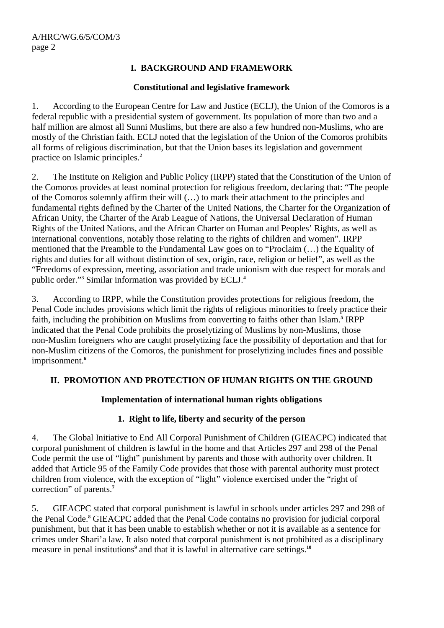## **I. BACKGROUND AND FRAMEWORK**

#### **Constitutional and legislative framework**

1. According to the European Centre for Law and Justice (ECLJ), the Union of the Comoros is a federal republic with a presidential system of government. Its population of more than two and a half million are almost all Sunni Muslims, but there are also a few hundred non-Muslims, who are mostly of the Christian faith. ECLJ noted that the legislation of the Union of the Comoros prohibits all forms of religious discrimination, but that the Union bases its legislation and government practice on Islamic principles.**<sup>2</sup>**

2. The Institute on Religion and Public Policy (IRPP) stated that the Constitution of the Union of the Comoros provides at least nominal protection for religious freedom, declaring that: "The people of the Comoros solemnly affirm their will (…) to mark their attachment to the principles and fundamental rights defined by the Charter of the United Nations, the Charter for the Organization of African Unity, the Charter of the Arab League of Nations, the Universal Declaration of Human Rights of the United Nations, and the African Charter on Human and Peoples' Rights, as well as international conventions, notably those relating to the rights of children and women". IRPP mentioned that the Preamble to the Fundamental Law goes on to "Proclaim (…) the Equality of rights and duties for all without distinction of sex, origin, race, religion or belief", as well as the "Freedoms of expression, meeting, association and trade unionism with due respect for morals and public order."**<sup>3</sup>** Similar information was provided by ECLJ.**<sup>4</sup>**

3. According to IRPP, while the Constitution provides protections for religious freedom, the Penal Code includes provisions which limit the rights of religious minorities to freely practice their faith, including the prohibition on Muslims from converting to faiths other than Islam.**<sup>5</sup>** IRPP indicated that the Penal Code prohibits the proselytizing of Muslims by non-Muslims, those non-Muslim foreigners who are caught proselytizing face the possibility of deportation and that for non-Muslim citizens of the Comoros, the punishment for proselytizing includes fines and possible imprisonment.**<sup>6</sup>**

### **II. PROMOTION AND PROTECTION OF HUMAN RIGHTS ON THE GROUND**

### **Implementation of international human rights obligations**

### **1. Right to life, liberty and security of the person**

4. The Global Initiative to End All Corporal Punishment of Children (GIEACPC) indicated that corporal punishment of children is lawful in the home and that Articles 297 and 298 of the Penal Code permit the use of "light" punishment by parents and those with authority over children. It added that Article 95 of the Family Code provides that those with parental authority must protect children from violence, with the exception of "light" violence exercised under the "right of correction" of parents.**<sup>7</sup>**

5. GIEACPC stated that corporal punishment is lawful in schools under articles 297 and 298 of the Penal Code.**<sup>8</sup>** GIEACPC added that the Penal Code contains no provision for judicial corporal punishment, but that it has been unable to establish whether or not it is available as a sentence for crimes under Shari'a law. It also noted that corporal punishment is not prohibited as a disciplinary measure in penal institutions<sup>9</sup> and that it is lawful in alternative care settings.<sup>10</sup>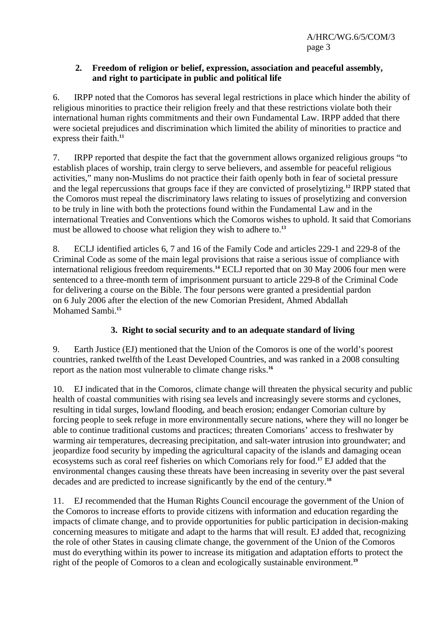#### **2. Freedom of religion or belief, expression, association and peaceful assembly, and right to participate in public and political life**

6. IRPP noted that the Comoros has several legal restrictions in place which hinder the ability of religious minorities to practice their religion freely and that these restrictions violate both their international human rights commitments and their own Fundamental Law. IRPP added that there were societal prejudices and discrimination which limited the ability of minorities to practice and express their faith.**<sup>11</sup>**

7. IRPP reported that despite the fact that the government allows organized religious groups "to establish places of worship, train clergy to serve believers, and assemble for peaceful religious activities," many non-Muslims do not practice their faith openly both in fear of societal pressure and the legal repercussions that groups face if they are convicted of proselytizing.**<sup>12</sup>** IRPP stated that the Comoros must repeal the discriminatory laws relating to issues of proselytizing and conversion to be truly in line with both the protections found within the Fundamental Law and in the international Treaties and Conventions which the Comoros wishes to uphold. It said that Comorians must be allowed to choose what religion they wish to adhere to.**<sup>13</sup>**

8. ECLJ identified articles 6, 7 and 16 of the Family Code and articles 229-1 and 229-8 of the Criminal Code as some of the main legal provisions that raise a serious issue of compliance with international religious freedom requirements.**<sup>14</sup>** ECLJ reported that on 30 May 2006 four men were sentenced to a three-month term of imprisonment pursuant to article 229-8 of the Criminal Code for delivering a course on the Bible. The four persons were granted a presidential pardon on 6 July 2006 after the election of the new Comorian President, Ahmed Abdallah Mohamed Sambi.**<sup>15</sup>**

## **3. Right to social security and to an adequate standard of living**

9. Earth Justice (EJ) mentioned that the Union of the Comoros is one of the world's poorest countries, ranked twelfth of the Least Developed Countries, and was ranked in a 2008 consulting report as the nation most vulnerable to climate change risks.**<sup>16</sup>**

10. EJ indicated that in the Comoros, climate change will threaten the physical security and public health of coastal communities with rising sea levels and increasingly severe storms and cyclones, resulting in tidal surges, lowland flooding, and beach erosion; endanger Comorian culture by forcing people to seek refuge in more environmentally secure nations, where they will no longer be able to continue traditional customs and practices; threaten Comorians' access to freshwater by warming air temperatures, decreasing precipitation, and salt-water intrusion into groundwater; and jeopardize food security by impeding the agricultural capacity of the islands and damaging ocean ecosystems such as coral reef fisheries on which Comorians rely for food.**<sup>17</sup>** EJ added that the environmental changes causing these threats have been increasing in severity over the past several decades and are predicted to increase significantly by the end of the century.**<sup>18</sup>**

11. EJ recommended that the Human Rights Council encourage the government of the Union of the Comoros to increase efforts to provide citizens with information and education regarding the impacts of climate change, and to provide opportunities for public participation in decision-making concerning measures to mitigate and adapt to the harms that will result. EJ added that, recognizing the role of other States in causing climate change, the government of the Union of the Comoros must do everything within its power to increase its mitigation and adaptation efforts to protect the right of the people of Comoros to a clean and ecologically sustainable environment.**19**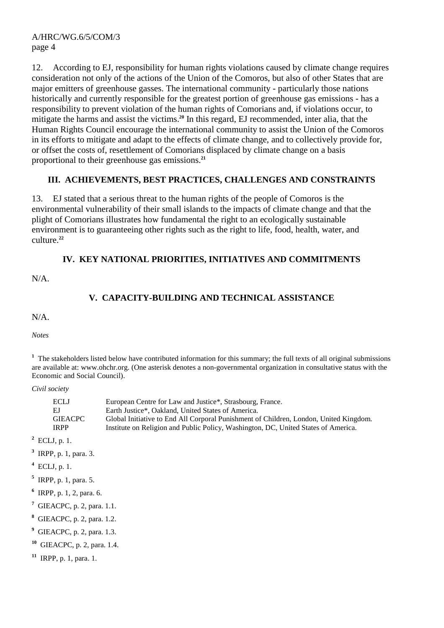#### A/HRC/WG.6/5/COM/3 page 4

12. According to EJ, responsibility for human rights violations caused by climate change requires consideration not only of the actions of the Union of the Comoros, but also of other States that are major emitters of greenhouse gasses. The international community - particularly those nations historically and currently responsible for the greatest portion of greenhouse gas emissions - has a responsibility to prevent violation of the human rights of Comorians and, if violations occur, to mitigate the harms and assist the victims.**<sup>20</sup>** In this regard, EJ recommended, inter alia, that the Human Rights Council encourage the international community to assist the Union of the Comoros in its efforts to mitigate and adapt to the effects of climate change, and to collectively provide for, or offset the costs of, resettlement of Comorians displaced by climate change on a basis proportional to their greenhouse gas emissions.**<sup>21</sup>**

## **III. ACHIEVEMENTS, BEST PRACTICES, CHALLENGES AND CONSTRAINTS**

13. EJ stated that a serious threat to the human rights of the people of Comoros is the environmental vulnerability of their small islands to the impacts of climate change and that the plight of Comorians illustrates how fundamental the right to an ecologically sustainable environment is to guaranteeing other rights such as the right to life, food, health, water, and culture.**<sup>22</sup>**

## **IV. KEY NATIONAL PRIORITIES, INITIATIVES AND COMMITMENTS**

N/A.

## **V. CAPACITY-BUILDING AND TECHNICAL ASSISTANCE**

N/A.

*Notes* 

<sup>1</sup> The stakeholders listed below have contributed information for this summary; the full texts of all original submissions are available at: www.ohchr.org. (One asterisk denotes a non-governmental organization in consultative status with the Economic and Social Council).

*Civil society* 

| ECLJ    | European Centre for Law and Justice*, Strasbourg, France.                             |
|---------|---------------------------------------------------------------------------------------|
| ЕJ      | Earth Justice*, Oakland, United States of America.                                    |
| GIEACPC | Global Initiative to End All Corporal Punishment of Children, London, United Kingdom. |
| IRPP    | Institute on Religion and Public Policy, Washington, DC, United States of America.    |

**2** ECLJ, p. 1.

- **3** IRPP, p. 1, para. 3.
- **4** ECLJ, p. 1.
- **5** IRPP, p. 1, para. 5.
- **6** IRPP, p. 1, 2, para. 6.
- **7** GIEACPC, p. 2, para. 1.1.
- **8** GIEACPC, p. 2, para. 1.2.
- **9** GIEACPC, p. 2, para. 1.3.
- **<sup>10</sup>** GIEACPC, p. 2, para. 1.4.
- **<sup>11</sup>** IRPP, p. 1, para. 1.